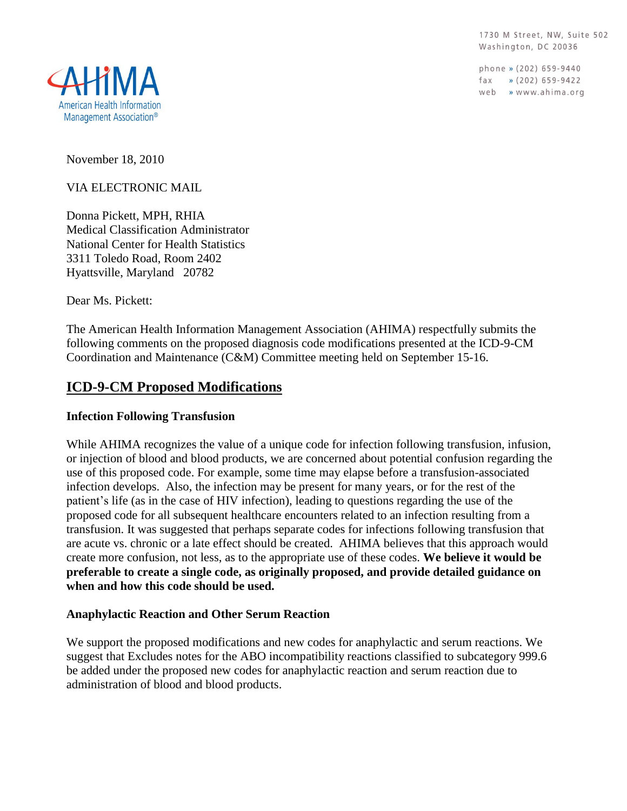1730 M Street, NW, Suite 502 Washington, DC 20036

phone » (202) 659-9440 fax » (202) 659-9422 web » www.ahima.org



November 18, 2010

VIA ELECTRONIC MAIL

Donna Pickett, MPH, RHIA Medical Classification Administrator National Center for Health Statistics 3311 Toledo Road, Room 2402 Hyattsville, Maryland 20782

Dear Ms. Pickett:

The American Health Information Management Association (AHIMA) respectfully submits the following comments on the proposed diagnosis code modifications presented at the ICD-9-CM Coordination and Maintenance (C&M) Committee meeting held on September 15-16.

# **ICD-9-CM Proposed Modifications**

#### **Infection Following Transfusion**

While AHIMA recognizes the value of a unique code for infection following transfusion, infusion, or injection of blood and blood products, we are concerned about potential confusion regarding the use of this proposed code. For example, some time may elapse before a transfusion-associated infection develops. Also, the infection may be present for many years, or for the rest of the patient's life (as in the case of HIV infection), leading to questions regarding the use of the proposed code for all subsequent healthcare encounters related to an infection resulting from a transfusion. It was suggested that perhaps separate codes for infections following transfusion that are acute vs. chronic or a late effect should be created. AHIMA believes that this approach would create more confusion, not less, as to the appropriate use of these codes. **We believe it would be preferable to create a single code, as originally proposed, and provide detailed guidance on when and how this code should be used.**

#### **Anaphylactic Reaction and Other Serum Reaction**

We support the proposed modifications and new codes for anaphylactic and serum reactions. We suggest that Excludes notes for the ABO incompatibility reactions classified to subcategory 999.6 be added under the proposed new codes for anaphylactic reaction and serum reaction due to administration of blood and blood products.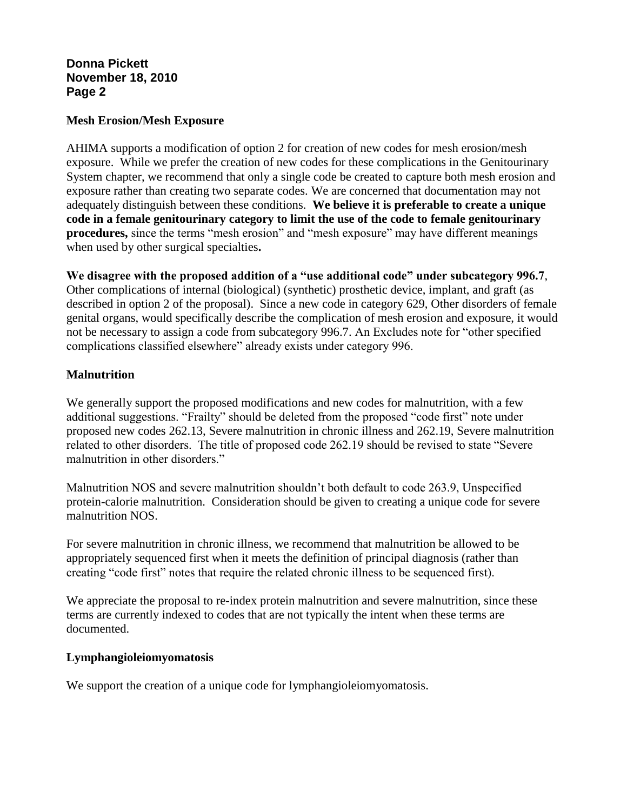#### **Mesh Erosion/Mesh Exposure**

AHIMA supports a modification of option 2 for creation of new codes for mesh erosion/mesh exposure. While we prefer the creation of new codes for these complications in the Genitourinary System chapter, we recommend that only a single code be created to capture both mesh erosion and exposure rather than creating two separate codes. We are concerned that documentation may not adequately distinguish between these conditions. **We believe it is preferable to create a unique code in a female genitourinary category to limit the use of the code to female genitourinary procedures,** since the terms "mesh erosion" and "mesh exposure" may have different meanings when used by other surgical specialties**.** 

**We disagree with the proposed addition of a "use additional code" under subcategory 996.7**, Other complications of internal (biological) (synthetic) prosthetic device, implant, and graft (as described in option 2 of the proposal). Since a new code in category 629, Other disorders of female genital organs, would specifically describe the complication of mesh erosion and exposure, it would not be necessary to assign a code from subcategory 996.7. An Excludes note for "other specified complications classified elsewhere" already exists under category 996.

## **Malnutrition**

We generally support the proposed modifications and new codes for malnutrition, with a few additional suggestions. "Frailty" should be deleted from the proposed "code first" note under proposed new codes 262.13, Severe malnutrition in chronic illness and 262.19, Severe malnutrition related to other disorders. The title of proposed code 262.19 should be revised to state "Severe malnutrition in other disorders."

Malnutrition NOS and severe malnutrition shouldn't both default to code 263.9, Unspecified protein-calorie malnutrition. Consideration should be given to creating a unique code for severe malnutrition NOS.

For severe malnutrition in chronic illness, we recommend that malnutrition be allowed to be appropriately sequenced first when it meets the definition of principal diagnosis (rather than creating "code first" notes that require the related chronic illness to be sequenced first).

We appreciate the proposal to re-index protein malnutrition and severe malnutrition, since these terms are currently indexed to codes that are not typically the intent when these terms are documented.

## **Lymphangioleiomyomatosis**

We support the creation of a unique code for lymphangioleiomyomatosis.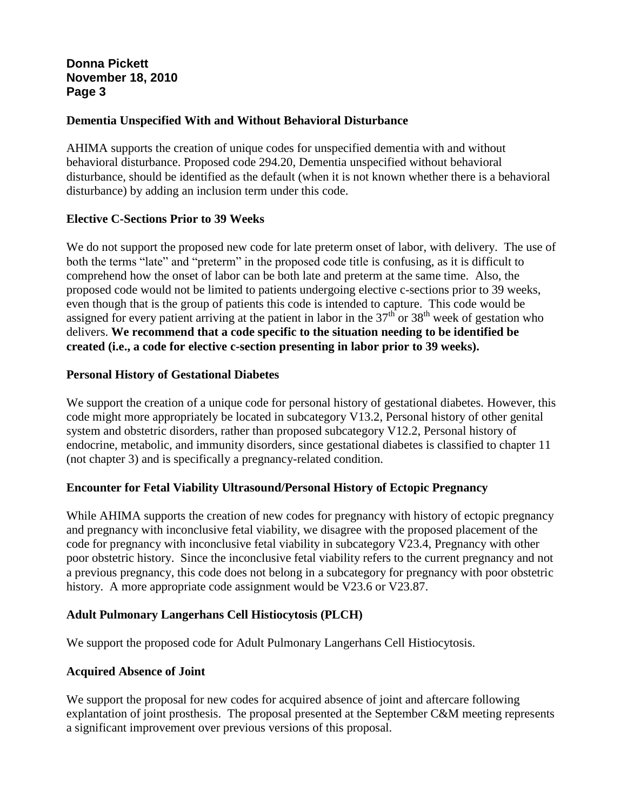### **Dementia Unspecified With and Without Behavioral Disturbance**

AHIMA supports the creation of unique codes for unspecified dementia with and without behavioral disturbance. Proposed code 294.20, Dementia unspecified without behavioral disturbance, should be identified as the default (when it is not known whether there is a behavioral disturbance) by adding an inclusion term under this code.

#### **Elective C-Sections Prior to 39 Weeks**

We do not support the proposed new code for late preterm onset of labor, with delivery. The use of both the terms "late" and "preterm" in the proposed code title is confusing, as it is difficult to comprehend how the onset of labor can be both late and preterm at the same time. Also, the proposed code would not be limited to patients undergoing elective c-sections prior to 39 weeks, even though that is the group of patients this code is intended to capture. This code would be assigned for every patient arriving at the patient in labor in the  $37<sup>th</sup>$  or  $38<sup>th</sup>$  week of gestation who delivers. **We recommend that a code specific to the situation needing to be identified be created (i.e., a code for elective c-section presenting in labor prior to 39 weeks).** 

#### **Personal History of Gestational Diabetes**

We support the creation of a unique code for personal history of gestational diabetes. However, this code might more appropriately be located in subcategory V13.2, Personal history of other genital system and obstetric disorders, rather than proposed subcategory V12.2, Personal history of endocrine, metabolic, and immunity disorders, since gestational diabetes is classified to chapter 11 (not chapter 3) and is specifically a pregnancy-related condition.

## **Encounter for Fetal Viability Ultrasound/Personal History of Ectopic Pregnancy**

While AHIMA supports the creation of new codes for pregnancy with history of ectopic pregnancy and pregnancy with inconclusive fetal viability, we disagree with the proposed placement of the code for pregnancy with inconclusive fetal viability in subcategory V23.4, Pregnancy with other poor obstetric history. Since the inconclusive fetal viability refers to the current pregnancy and not a previous pregnancy, this code does not belong in a subcategory for pregnancy with poor obstetric history. A more appropriate code assignment would be V23.6 or V23.87.

#### **Adult Pulmonary Langerhans Cell Histiocytosis (PLCH)**

We support the proposed code for Adult Pulmonary Langerhans Cell Histiocytosis.

#### **Acquired Absence of Joint**

We support the proposal for new codes for acquired absence of joint and aftercare following explantation of joint prosthesis. The proposal presented at the September C&M meeting represents a significant improvement over previous versions of this proposal.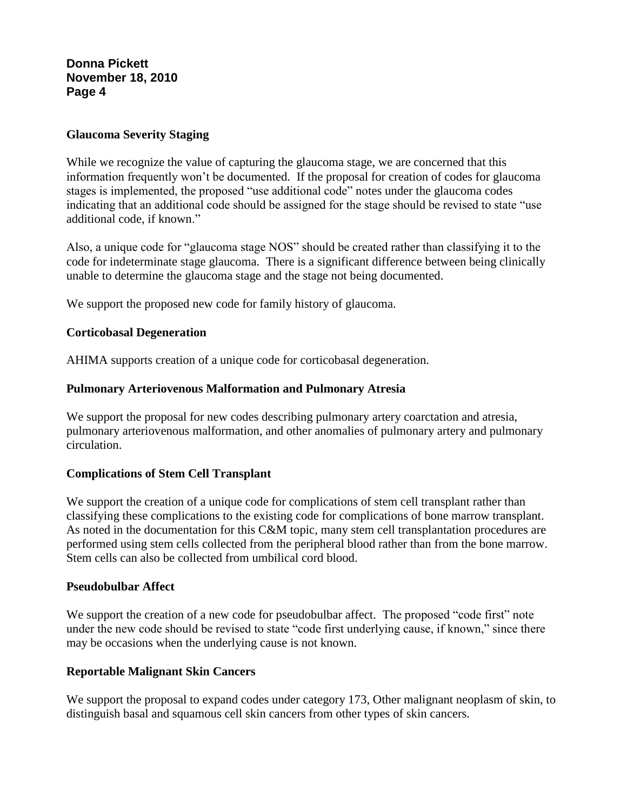#### **Glaucoma Severity Staging**

While we recognize the value of capturing the glaucoma stage, we are concerned that this information frequently won't be documented. If the proposal for creation of codes for glaucoma stages is implemented, the proposed "use additional code" notes under the glaucoma codes indicating that an additional code should be assigned for the stage should be revised to state "use additional code, if known."

Also, a unique code for "glaucoma stage NOS" should be created rather than classifying it to the code for indeterminate stage glaucoma. There is a significant difference between being clinically unable to determine the glaucoma stage and the stage not being documented.

We support the proposed new code for family history of glaucoma.

#### **Corticobasal Degeneration**

AHIMA supports creation of a unique code for corticobasal degeneration.

#### **Pulmonary Arteriovenous Malformation and Pulmonary Atresia**

We support the proposal for new codes describing pulmonary artery coarctation and atresia, pulmonary arteriovenous malformation, and other anomalies of pulmonary artery and pulmonary circulation.

#### **Complications of Stem Cell Transplant**

We support the creation of a unique code for complications of stem cell transplant rather than classifying these complications to the existing code for complications of bone marrow transplant. As noted in the documentation for this C&M topic, many stem cell transplantation procedures are performed using stem cells collected from the peripheral blood rather than from the bone marrow. Stem cells can also be collected from umbilical cord blood.

#### **Pseudobulbar Affect**

We support the creation of a new code for pseudobulbar affect. The proposed "code first" note under the new code should be revised to state "code first underlying cause, if known," since there may be occasions when the underlying cause is not known.

### **Reportable Malignant Skin Cancers**

We support the proposal to expand codes under category 173, Other malignant neoplasm of skin, to distinguish basal and squamous cell skin cancers from other types of skin cancers.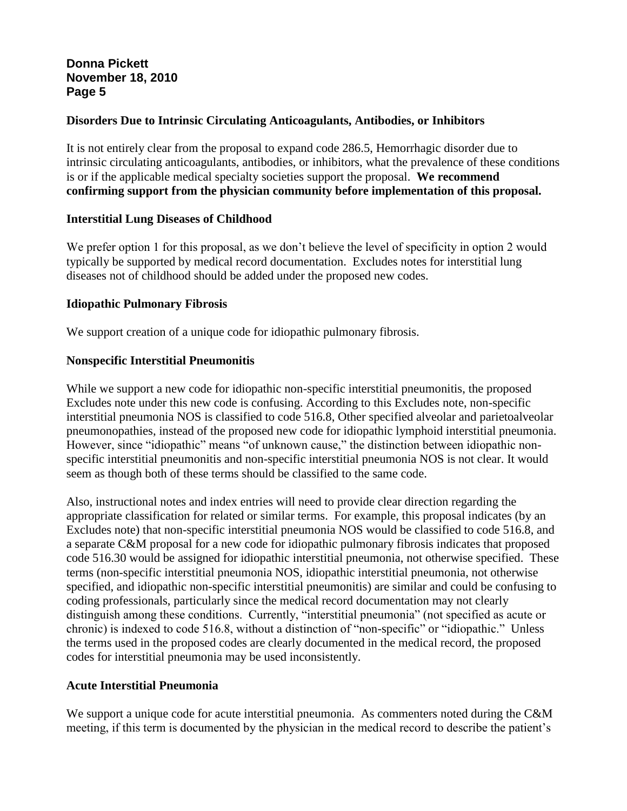### **Disorders Due to Intrinsic Circulating Anticoagulants, Antibodies, or Inhibitors**

It is not entirely clear from the proposal to expand code 286.5, Hemorrhagic disorder due to intrinsic circulating anticoagulants, antibodies, or inhibitors, what the prevalence of these conditions is or if the applicable medical specialty societies support the proposal. **We recommend confirming support from the physician community before implementation of this proposal.**

#### **Interstitial Lung Diseases of Childhood**

We prefer option 1 for this proposal, as we don't believe the level of specificity in option 2 would typically be supported by medical record documentation. Excludes notes for interstitial lung diseases not of childhood should be added under the proposed new codes.

#### **Idiopathic Pulmonary Fibrosis**

We support creation of a unique code for idiopathic pulmonary fibrosis.

#### **Nonspecific Interstitial Pneumonitis**

While we support a new code for idiopathic non-specific interstitial pneumonitis, the proposed Excludes note under this new code is confusing. According to this Excludes note, non-specific interstitial pneumonia NOS is classified to code 516.8, Other specified alveolar and parietoalveolar pneumonopathies, instead of the proposed new code for idiopathic lymphoid interstitial pneumonia. However, since "idiopathic" means "of unknown cause," the distinction between idiopathic nonspecific interstitial pneumonitis and non-specific interstitial pneumonia NOS is not clear. It would seem as though both of these terms should be classified to the same code.

Also, instructional notes and index entries will need to provide clear direction regarding the appropriate classification for related or similar terms. For example, this proposal indicates (by an Excludes note) that non-specific interstitial pneumonia NOS would be classified to code 516.8, and a separate C&M proposal for a new code for idiopathic pulmonary fibrosis indicates that proposed code 516.30 would be assigned for idiopathic interstitial pneumonia, not otherwise specified. These terms (non-specific interstitial pneumonia NOS, idiopathic interstitial pneumonia, not otherwise specified, and idiopathic non-specific interstitial pneumonitis) are similar and could be confusing to coding professionals, particularly since the medical record documentation may not clearly distinguish among these conditions. Currently, "interstitial pneumonia" (not specified as acute or chronic) is indexed to code 516.8, without a distinction of "non-specific" or "idiopathic." Unless the terms used in the proposed codes are clearly documented in the medical record, the proposed codes for interstitial pneumonia may be used inconsistently.

#### **Acute Interstitial Pneumonia**

We support a unique code for acute interstitial pneumonia. As commenters noted during the C&M meeting, if this term is documented by the physician in the medical record to describe the patient's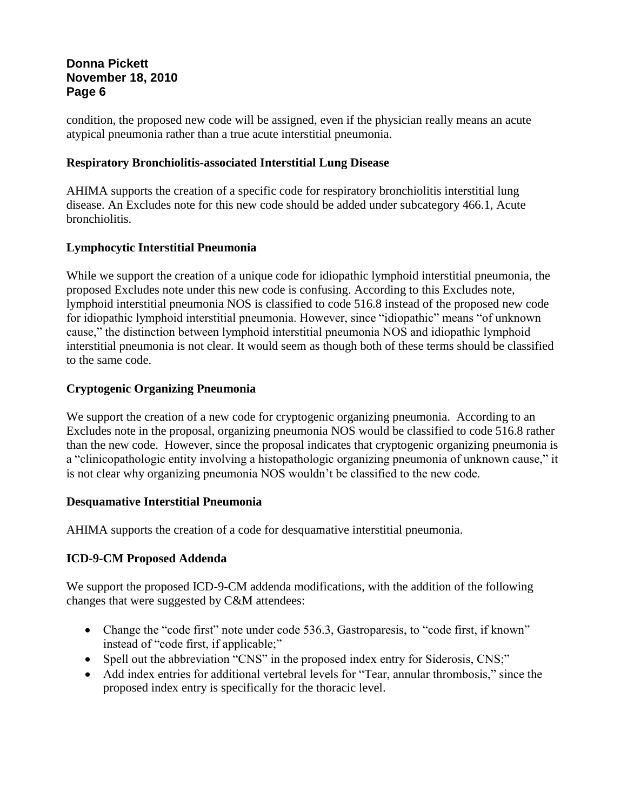condition, the proposed new code will be assigned, even if the physician really means an acute atypical pneumonia rather than a true acute interstitial pneumonia.

### **Respiratory Bronchiolitis-associated Interstitial Lung Disease**

AHIMA supports the creation of a specific code for respiratory bronchiolitis interstitial lung disease. An Excludes note for this new code should be added under subcategory 466.1, Acute bronchiolitis.

## **Lymphocytic Interstitial Pneumonia**

While we support the creation of a unique code for idiopathic lymphoid interstitial pneumonia, the proposed Excludes note under this new code is confusing. According to this Excludes note, lymphoid interstitial pneumonia NOS is classified to code 516.8 instead of the proposed new code for idiopathic lymphoid interstitial pneumonia. However, since "idiopathic" means "of unknown cause," the distinction between lymphoid interstitial pneumonia NOS and idiopathic lymphoid interstitial pneumonia is not clear. It would seem as though both of these terms should be classified to the same code.

## **Cryptogenic Organizing Pneumonia**

We support the creation of a new code for cryptogenic organizing pneumonia. According to an Excludes note in the proposal, organizing pneumonia NOS would be classified to code 516.8 rather than the new code. However, since the proposal indicates that cryptogenic organizing pneumonia is a "clinicopathologic entity involving a histopathologic organizing pneumonia of unknown cause," it is not clear why organizing pneumonia NOS wouldn't be classified to the new code.

## **Desquamative Interstitial Pneumonia**

AHIMA supports the creation of a code for desquamative interstitial pneumonia.

## **ICD-9-CM Proposed Addenda**

We support the proposed ICD-9-CM addenda modifications, with the addition of the following changes that were suggested by C&M attendees:

- Change the "code first" note under code 536.3, Gastroparesis, to "code first, if known" instead of "code first, if applicable;"
- Spell out the abbreviation "CNS" in the proposed index entry for Siderosis, CNS;"
- Add index entries for additional vertebral levels for "Tear, annular thrombosis," since the proposed index entry is specifically for the thoracic level.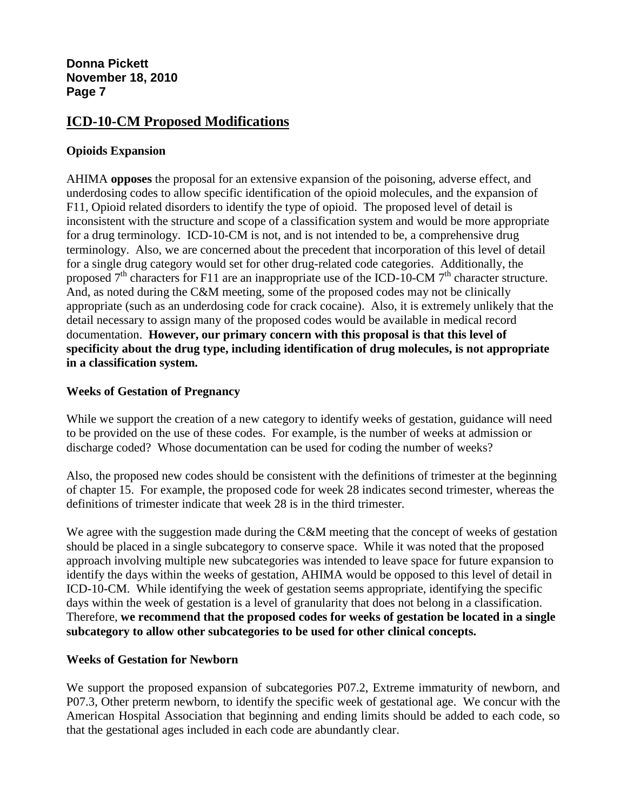# **ICD-10-CM Proposed Modifications**

### **Opioids Expansion**

AHIMA **opposes** the proposal for an extensive expansion of the poisoning, adverse effect, and underdosing codes to allow specific identification of the opioid molecules, and the expansion of F11, Opioid related disorders to identify the type of opioid. The proposed level of detail is inconsistent with the structure and scope of a classification system and would be more appropriate for a drug terminology. ICD-10-CM is not, and is not intended to be, a comprehensive drug terminology. Also, we are concerned about the precedent that incorporation of this level of detail for a single drug category would set for other drug-related code categories. Additionally, the proposed  $7<sup>th</sup>$  characters for F11 are an inappropriate use of the ICD-10-CM  $7<sup>th</sup>$  character structure. And, as noted during the C&M meeting, some of the proposed codes may not be clinically appropriate (such as an underdosing code for crack cocaine). Also, it is extremely unlikely that the detail necessary to assign many of the proposed codes would be available in medical record documentation. **However, our primary concern with this proposal is that this level of specificity about the drug type, including identification of drug molecules, is not appropriate in a classification system.**

#### **Weeks of Gestation of Pregnancy**

While we support the creation of a new category to identify weeks of gestation, guidance will need to be provided on the use of these codes. For example, is the number of weeks at admission or discharge coded? Whose documentation can be used for coding the number of weeks?

Also, the proposed new codes should be consistent with the definitions of trimester at the beginning of chapter 15. For example, the proposed code for week 28 indicates second trimester, whereas the definitions of trimester indicate that week 28 is in the third trimester.

We agree with the suggestion made during the C&M meeting that the concept of weeks of gestation should be placed in a single subcategory to conserve space. While it was noted that the proposed approach involving multiple new subcategories was intended to leave space for future expansion to identify the days within the weeks of gestation, AHIMA would be opposed to this level of detail in ICD-10-CM. While identifying the week of gestation seems appropriate, identifying the specific days within the week of gestation is a level of granularity that does not belong in a classification. Therefore, **we recommend that the proposed codes for weeks of gestation be located in a single subcategory to allow other subcategories to be used for other clinical concepts.**

## **Weeks of Gestation for Newborn**

We support the proposed expansion of subcategories P07.2, Extreme immaturity of newborn, and P07.3, Other preterm newborn, to identify the specific week of gestational age. We concur with the American Hospital Association that beginning and ending limits should be added to each code, so that the gestational ages included in each code are abundantly clear.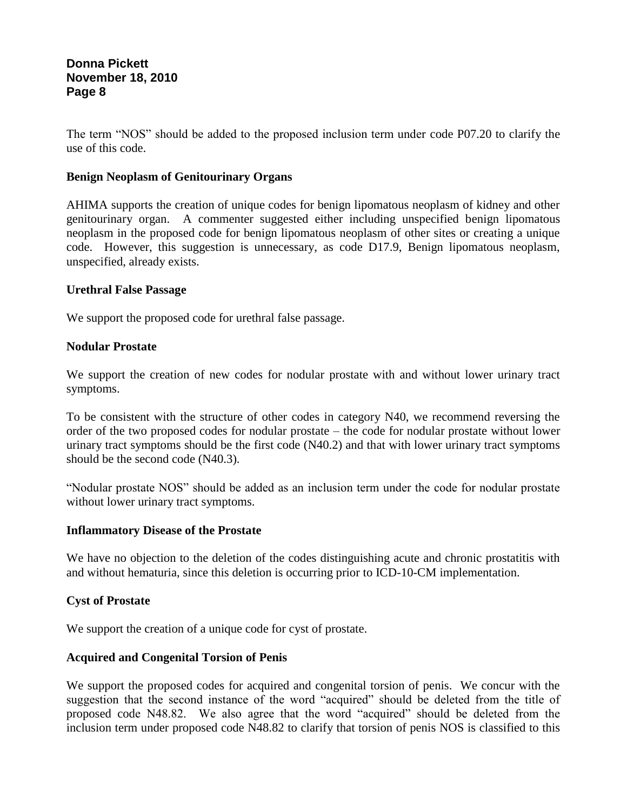The term "NOS" should be added to the proposed inclusion term under code P07.20 to clarify the use of this code.

#### **Benign Neoplasm of Genitourinary Organs**

AHIMA supports the creation of unique codes for benign lipomatous neoplasm of kidney and other genitourinary organ. A commenter suggested either including unspecified benign lipomatous neoplasm in the proposed code for benign lipomatous neoplasm of other sites or creating a unique code. However, this suggestion is unnecessary, as code D17.9, Benign lipomatous neoplasm, unspecified, already exists.

#### **Urethral False Passage**

We support the proposed code for urethral false passage.

#### **Nodular Prostate**

We support the creation of new codes for nodular prostate with and without lower urinary tract symptoms.

To be consistent with the structure of other codes in category N40, we recommend reversing the order of the two proposed codes for nodular prostate – the code for nodular prostate without lower urinary tract symptoms should be the first code (N40.2) and that with lower urinary tract symptoms should be the second code (N40.3).

"Nodular prostate NOS" should be added as an inclusion term under the code for nodular prostate without lower urinary tract symptoms.

#### **Inflammatory Disease of the Prostate**

We have no objection to the deletion of the codes distinguishing acute and chronic prostatitis with and without hematuria, since this deletion is occurring prior to ICD-10-CM implementation.

#### **Cyst of Prostate**

We support the creation of a unique code for cyst of prostate.

## **Acquired and Congenital Torsion of Penis**

We support the proposed codes for acquired and congenital torsion of penis. We concur with the suggestion that the second instance of the word "acquired" should be deleted from the title of proposed code N48.82. We also agree that the word "acquired" should be deleted from the inclusion term under proposed code N48.82 to clarify that torsion of penis NOS is classified to this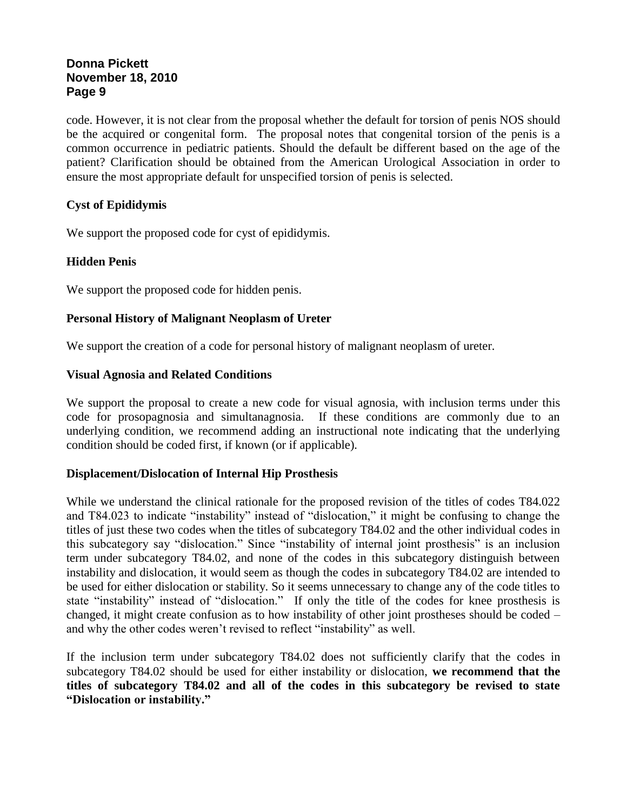code. However, it is not clear from the proposal whether the default for torsion of penis NOS should be the acquired or congenital form. The proposal notes that congenital torsion of the penis is a common occurrence in pediatric patients. Should the default be different based on the age of the patient? Clarification should be obtained from the American Urological Association in order to ensure the most appropriate default for unspecified torsion of penis is selected.

## **Cyst of Epididymis**

We support the proposed code for cyst of epididymis.

## **Hidden Penis**

We support the proposed code for hidden penis.

## **Personal History of Malignant Neoplasm of Ureter**

We support the creation of a code for personal history of malignant neoplasm of ureter.

#### **Visual Agnosia and Related Conditions**

We support the proposal to create a new code for visual agnosia, with inclusion terms under this code for prosopagnosia and simultanagnosia. If these conditions are commonly due to an underlying condition, we recommend adding an instructional note indicating that the underlying condition should be coded first, if known (or if applicable).

## **Displacement/Dislocation of Internal Hip Prosthesis**

While we understand the clinical rationale for the proposed revision of the titles of codes T84.022 and T84.023 to indicate "instability" instead of "dislocation," it might be confusing to change the titles of just these two codes when the titles of subcategory T84.02 and the other individual codes in this subcategory say "dislocation." Since "instability of internal joint prosthesis" is an inclusion term under subcategory T84.02, and none of the codes in this subcategory distinguish between instability and dislocation, it would seem as though the codes in subcategory T84.02 are intended to be used for either dislocation or stability. So it seems unnecessary to change any of the code titles to state "instability" instead of "dislocation." If only the title of the codes for knee prosthesis is changed, it might create confusion as to how instability of other joint prostheses should be coded – and why the other codes weren't revised to reflect "instability" as well.

If the inclusion term under subcategory T84.02 does not sufficiently clarify that the codes in subcategory T84.02 should be used for either instability or dislocation, **we recommend that the titles of subcategory T84.02 and all of the codes in this subcategory be revised to state "Dislocation or instability."**